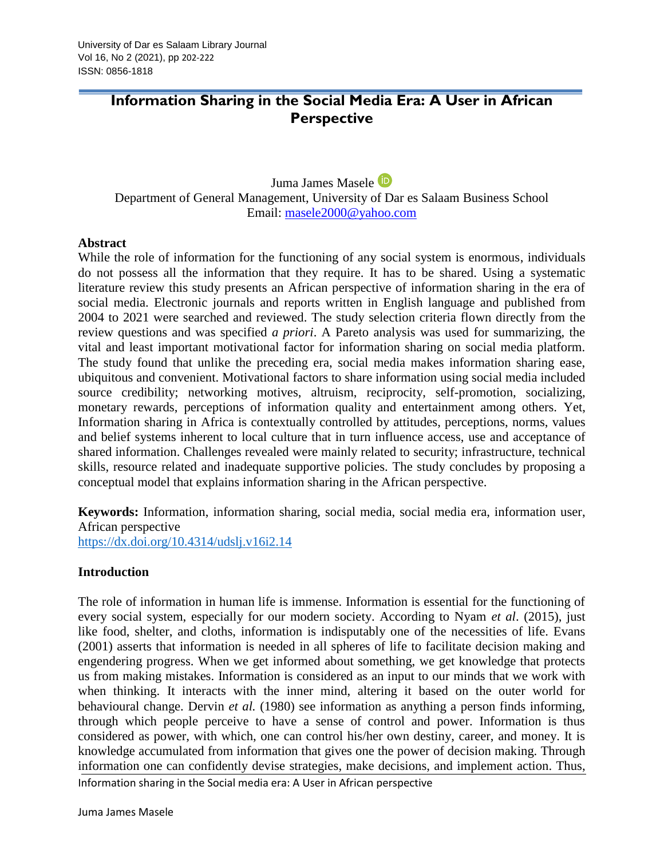# **Information Sharing in the Social Media Era: A User in African Perspective**

Juma James Masele

Department of General Management, University of Dar es Salaam Business School Email: [masele2000@yahoo.com](mailto:masele2000@yahoo.com)

### **Abstract**

While the role of information for the functioning of any social system is enormous, individuals do not possess all the information that they require. It has to be shared. Using a systematic literature review this study presents an African perspective of information sharing in the era of social media. Electronic journals and reports written in English language and published from 2004 to 2021 were searched and reviewed. The study selection criteria flown directly from the review questions and was specified *a priori*. A Pareto analysis was used for summarizing, the vital and least important motivational factor for information sharing on social media platform. The study found that unlike the preceding era, social media makes information sharing ease, ubiquitous and convenient. Motivational factors to share information using social media included source credibility; networking motives, altruism, reciprocity, self-promotion, socializing, monetary rewards, perceptions of information quality and entertainment among others. Yet, Information sharing in Africa is contextually controlled by attitudes, perceptions, norms, values and belief systems inherent to local culture that in turn influence access, use and acceptance of shared information. Challenges revealed were mainly related to security; infrastructure, technical skills, resource related and inadequate supportive policies. The study concludes by proposing a conceptual model that explains information sharing in the African perspective.

**Keywords:** Information, information sharing, social media, social media era, information user, African perspective

<https://dx.doi.org/10.4314/udslj.v16i2.14>

### **Introduction**

The role of information in human life is immense. Information is essential for the functioning of every social system, especially for our modern society. According to Nyam *et al*. (2015), just like food, shelter, and cloths, information is indisputably one of the necessities of life. Evans (2001) asserts that information is needed in all spheres of life to facilitate decision making and engendering progress. When we get informed about something, we get knowledge that protects us from making mistakes. Information is considered as an input to our minds that we work with when thinking. It interacts with the inner mind, altering it based on the outer world for behavioural change. Dervin *et al.* (1980) see information as anything a person finds informing, through which people perceive to have a sense of control and power. Information is thus considered as power, with which, one can control his/her own destiny, career, and money. It is knowledge accumulated from information that gives one the power of decision making. Through information one can confidently devise strategies, make decisions, and implement action. Thus,

Information sharing in the Social media era: A User in African perspective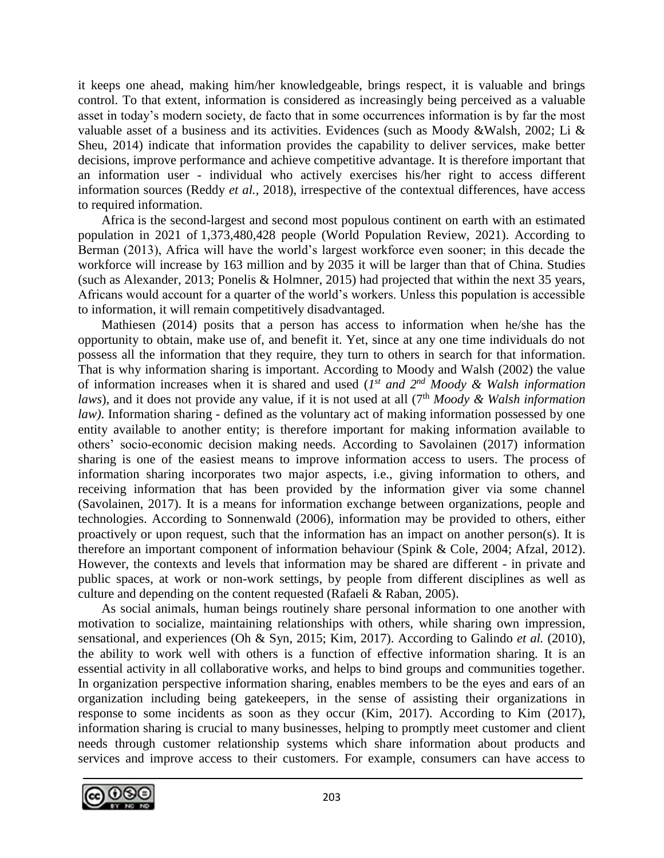it keeps one ahead, making him/her knowledgeable, brings respect, it is valuable and brings control. To that extent, information is considered as increasingly being perceived as a valuable asset in today's modern society, de facto that in some occurrences information is by far the most valuable asset of a business and its activities. Evidences (such as Moody &Walsh, 2002; Li & Sheu, 2014) indicate that information provides the capability to deliver services, make better decisions, improve performance and achieve competitive advantage. It is therefore important that an information user - individual who actively exercises his/her right to access different information sources (Reddy *et al.,* 2018), irrespective of the contextual differences, have access to required information.

Africa is the second-largest and second most populous continent on earth with an estimated population in 2021 of 1,373,480,428 people (World Population Review, 2021). According to Berman (2013), Africa will have the world's largest workforce even sooner; in this decade the workforce will increase by 163 million and by 2035 it will be larger than that of China. Studies (such as Alexander, 2013; Ponelis & Holmner, 2015) had projected that within the next 35 years, Africans would account for a quarter of the world's workers. Unless this population is accessible to information, it will remain competitively disadvantaged.

Mathiesen (2014) posits that a person has access to information when he/she has the opportunity to obtain, make use of, and benefit it. Yet, since at any one time individuals do not possess all the information that they require, they turn to others in search for that information. That is why information sharing is important. According to Moody and Walsh (2002) the value of information increases when it is shared and used (*I*<sup>st</sup> and  $2^{nd}$  *Moody & Walsh information laws*), and it does not provide any value, if it is not used at all (7<sup>th</sup> *Moody & Walsh information law)*. Information sharing - defined as the voluntary act of making information possessed by one entity available to another entity; is therefore important for making information available to others' socio-economic decision making needs. According to Savolainen (2017) information sharing is one of the easiest means to improve information access to users. The process of information sharing incorporates two major aspects, i.e., giving information to others, and receiving information that has been provided by the information giver via some channel (Savolainen, 2017). It is a means for information exchange between organizations, people and technologies. According to Sonnenwald (2006), information may be provided to others, either proactively or upon request, such that the information has an impact on another person(s). It is therefore an important component of information behaviour (Spink & Cole, 2004; Afzal, 2012). However, the contexts and levels that information may be shared are different - in private and public spaces, at work or non-work settings, by people from different disciplines as well as culture and depending on the content requested (Rafaeli & Raban, 2005).

As social animals, human beings routinely share personal information to one another with motivation to socialize, maintaining relationships with others, while sharing own impression, sensational, and experiences (Oh & Syn, 2015; Kim, 2017). According to Galindo *et al.* (2010), the ability to work well with others is a function of effective information sharing. It is an essential activity in all collaborative works, and helps to bind groups and communities together. In organization perspective information sharing, enables members to be the eyes and ears of an organization including being gatekeepers, in the sense of assisting their organizations in response to some incidents as soon as they occur (Kim, 2017). According to Kim (2017), information sharing is crucial to many businesses, helping to promptly meet customer and client needs through customer relationship systems which share information about products and services and improve access to their customers. For example, consumers can have access to

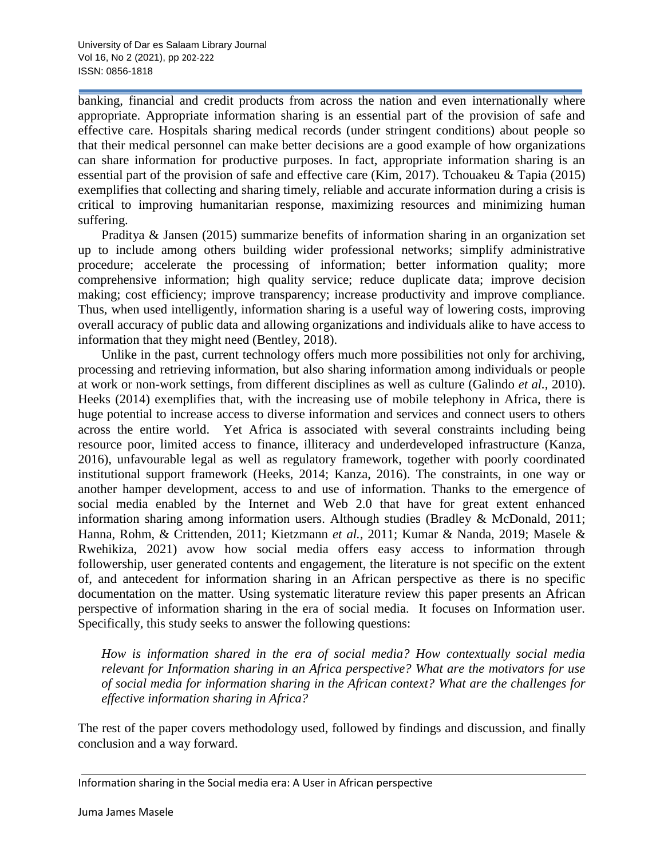banking, financial and credit products from across the nation and even internationally where appropriate. Appropriate information sharing is an essential part of the provision of safe and effective care. Hospitals sharing medical records (under stringent conditions) about people so that their medical personnel can make better decisions are a good example of how organizations can share information for productive purposes. In fact, appropriate information sharing is an essential part of the provision of safe and effective care (Kim, 2017). Tchouakeu & Tapia (2015) exemplifies that collecting and sharing timely, reliable and accurate information during a crisis is critical to improving humanitarian response, maximizing resources and minimizing human suffering.

Praditya & Jansen (2015) summarize benefits of information sharing in an organization set up to include among others building wider professional networks; simplify administrative procedure; accelerate the processing of information; better information quality; more comprehensive information; high quality service; reduce duplicate data; improve decision making; cost efficiency; improve transparency; increase productivity and improve compliance. Thus, when used intelligently, information sharing is a useful way of lowering costs, improving overall accuracy of public data and allowing organizations and individuals alike to have access to information that they might need (Bentley, 2018).

Unlike in the past, current technology offers much more possibilities not only for archiving, processing and retrieving information, but also sharing information among individuals or people at work or non-work settings, from different disciplines as well as culture (Galindo *et al.,* 2010). Heeks (2014) exemplifies that, with the increasing use of mobile telephony in Africa, there is huge potential to increase access to diverse information and services and connect users to others across the entire world. Yet Africa is associated with several constraints including being resource poor, limited access to finance, illiteracy and underdeveloped infrastructure (Kanza, 2016), unfavourable legal as well as regulatory framework, together with poorly coordinated institutional support framework (Heeks, 2014; Kanza, 2016). The constraints, in one way or another hamper development, access to and use of information. Thanks to the emergence of social media enabled by the Internet and Web 2.0 that have for great extent enhanced information sharing among information users. Although studies (Bradley & McDonald, 2011; Hanna, Rohm, & Crittenden, 2011; Kietzmann *et al.,* 2011; Kumar & Nanda, 2019; Masele & Rwehikiza, 2021) avow how social media offers easy access to information through followership, user generated contents and engagement, the literature is not specific on the extent of, and antecedent for information sharing in an African perspective as there is no specific documentation on the matter. Using systematic literature review this paper presents an African perspective of information sharing in the era of social media. It focuses on Information user. Specifically, this study seeks to answer the following questions:

*How is information shared in the era of social media? How contextually social media relevant for Information sharing in an Africa perspective? What are the motivators for use of social media for information sharing in the African context? What are the challenges for effective information sharing in Africa?*

The rest of the paper covers methodology used, followed by findings and discussion, and finally conclusion and a way forward.

Information sharing in the Social media era: A User in African perspective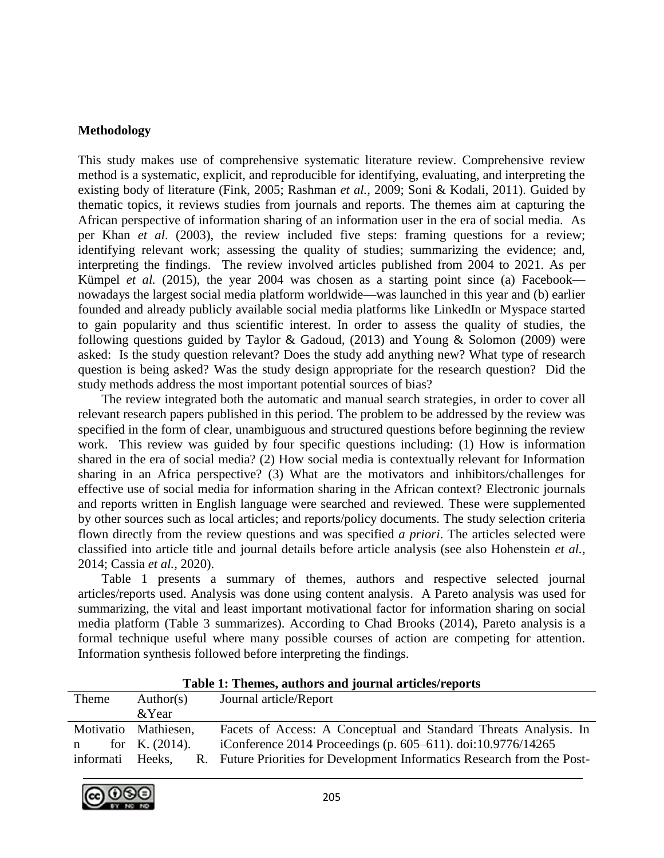#### **Methodology**

This study makes use of comprehensive systematic literature review. Comprehensive review method is a systematic, explicit, and reproducible for identifying, evaluating, and interpreting the existing body of literature (Fink, 2005; Rashman *et al.,* 2009; Soni & Kodali, 2011). Guided by thematic topics, it reviews studies from journals and reports. The themes aim at capturing the African perspective of information sharing of an information user in the era of social media. As per Khan *et al*. (2003), the review included five steps: framing questions for a review; identifying relevant work; assessing the quality of studies; summarizing the evidence; and, interpreting the findings. The review involved articles published from 2004 to 2021. As per Kümpel *et al.* (2015), the year 2004 was chosen as a starting point since (a) Facebook nowadays the largest social media platform worldwide—was launched in this year and (b) earlier founded and already publicly available social media platforms like LinkedIn or Myspace started to gain popularity and thus scientific interest. In order to assess the quality of studies, the following questions guided by Taylor & Gadoud, (2013) and Young & Solomon (2009) were asked: Is the study question relevant? Does the study add anything new? What type of research question is being asked? Was the study design appropriate for the research question? Did the study methods address the most important potential sources of bias?

The review integrated both the automatic and manual search strategies, in order to cover all relevant research papers published in this period. The problem to be addressed by the review was specified in the form of clear, unambiguous and structured questions before beginning the review work. This review was guided by four specific questions including: (1) How is information shared in the era of social media? (2) How social media is contextually relevant for Information sharing in an Africa perspective? (3) What are the motivators and inhibitors/challenges for effective use of social media for information sharing in the African context? Electronic journals and reports written in English language were searched and reviewed. These were supplemented by other sources such as local articles; and reports/policy documents. The study selection criteria flown directly from the review questions and was specified *a priori*. The articles selected were classified into article title and journal details before article analysis (see also Hohenstein *et al.,* 2014; Cassia *et al.,* 2020).

Table 1 presents a summary of themes, authors and respective selected journal articles/reports used. Analysis was done using content analysis. A Pareto analysis was used for summarizing, the vital and least important motivational factor for information sharing on social media platform (Table 3 summarizes). According to Chad Brooks (2014), Pareto analysis is a formal technique useful where many possible courses of action are competing for attention. Information synthesis followed before interpreting the findings.

|                  | Table 1: Themes, authors and journal articles reports |                                                                       |  |
|------------------|-------------------------------------------------------|-----------------------------------------------------------------------|--|
| Theme            | Author(s)                                             | Journal article/Report                                                |  |
|                  | &Year                                                 |                                                                       |  |
|                  | Motivatio Mathiesen,                                  | Facets of Access: A Conceptual and Standard Threats Analysis. In      |  |
| $\mathbf n$      | for K. $(2014)$ .                                     | iConference 2014 Proceedings (p. 605–611). doi:10.9776/14265          |  |
| informati Heeks. | R.                                                    | Future Priorities for Development Informatics Research from the Post- |  |

**Table 1: Themes, authors and journal articles/reports**

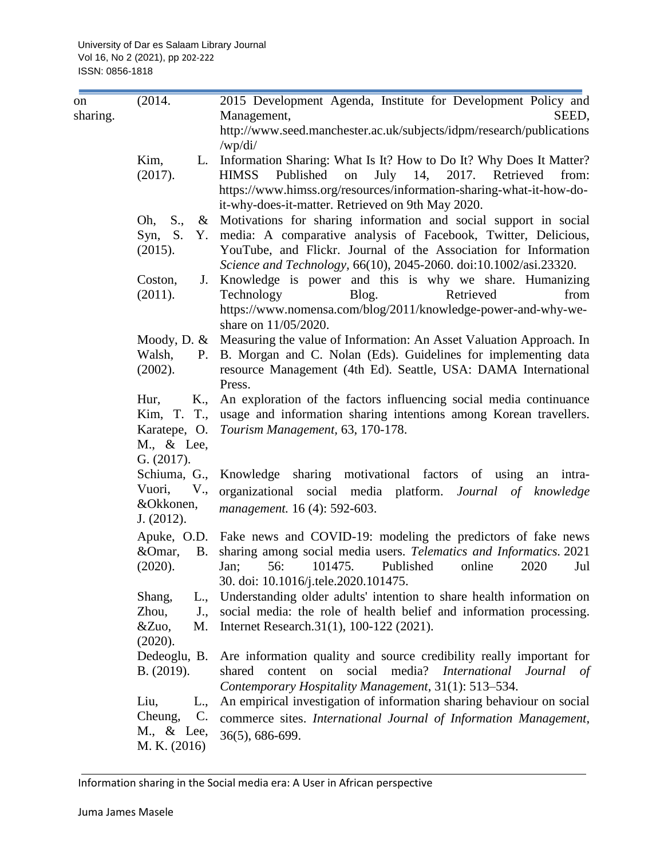| on       | (2014.                          | 2015 Development Agenda, Institute for Development Policy and                                                                        |
|----------|---------------------------------|--------------------------------------------------------------------------------------------------------------------------------------|
| sharing. |                                 | Management,<br>SEED,                                                                                                                 |
|          |                                 | http://www.seed.manchester.ac.uk/subjects/idpm/research/publications<br>/wp/di/                                                      |
|          | Kim,                            | L. Information Sharing: What Is It? How to Do It? Why Does It Matter?                                                                |
|          | (2017).                         | <b>HIMSS</b><br>July 14, 2017. Retrieved<br>Published<br>on<br>from:                                                                 |
|          |                                 | https://www.himss.org/resources/information-sharing-what-it-how-do-<br>it-why-does-it-matter. Retrieved on 9th May 2020.             |
|          | Oh, S.,                         | & Motivations for sharing information and social support in social                                                                   |
|          | Syn, S.                         | Y. media: A comparative analysis of Facebook, Twitter, Delicious,                                                                    |
|          | (2015).                         | YouTube, and Flickr. Journal of the Association for Information<br>Science and Technology, 66(10), 2045-2060. doi:10.1002/asi.23320. |
|          | Coston,                         | J. Knowledge is power and this is why we share. Humanizing                                                                           |
|          | (2011).                         | Retrieved<br>Technology<br>Blog.<br>from                                                                                             |
|          |                                 | https://www.nomensa.com/blog/2011/knowledge-power-and-why-we-<br>share on 11/05/2020.                                                |
|          |                                 | Moody, D. & Measuring the value of Information: An Asset Valuation Approach. In                                                      |
|          | Walsh,                          | P. B. Morgan and C. Nolan (Eds). Guidelines for implementing data                                                                    |
|          | (2002).                         | resource Management (4th Ed). Seattle, USA: DAMA International<br>Press.                                                             |
|          | K.,<br>Hur,                     | An exploration of the factors influencing social media continuance                                                                   |
|          |                                 | Kim, T. T., usage and information sharing intentions among Korean travellers.                                                        |
|          |                                 | Karatepe, O. Tourism Management, 63, 170-178.                                                                                        |
|          | M., & Lee,                      |                                                                                                                                      |
|          | G. (2017).                      |                                                                                                                                      |
|          |                                 | Schiuma, G., Knowledge sharing motivational factors of using an intra-                                                               |
|          | V.,<br>Vuori,                   | organizational social media platform. Journal of<br>knowledge                                                                        |
|          | &Okkonen,                       | management. 16 (4): 592-603.                                                                                                         |
|          | J. (2012).                      |                                                                                                                                      |
|          |                                 | Apuke, O.D. Fake news and COVID-19: modeling the predictors of fake news                                                             |
|          | &Omar,                          | B. sharing among social media users. Telematics and Informatics. 2021                                                                |
|          | (2020).                         | 56:<br>101475.<br>Jan;<br>Published<br>online<br>2020<br>Jul                                                                         |
|          |                                 | 30. doi: 10.1016/j.tele.2020.101475.                                                                                                 |
|          | Shang,<br>L.,                   | Understanding older adults' intention to share health information on                                                                 |
|          | Zhou,<br>J.,                    | social media: the role of health belief and information processing.                                                                  |
|          | M.<br>$&\text{Zuo},$<br>(2020). | Internet Research.31(1), 100-122 (2021).                                                                                             |
|          | Dedeoglu, B.                    | Are information quality and source credibility really important for                                                                  |
|          | B. (2019).                      | media? International Journal<br>social<br>shared<br>content<br>on<br>- of                                                            |
|          |                                 | Contemporary Hospitality Management, 31(1): 513-534.                                                                                 |
|          | Liu,<br>L.,                     | An empirical investigation of information sharing behaviour on social                                                                |
|          | Cheung,<br>$\mathcal{C}$ .      | commerce sites. International Journal of Information Management,                                                                     |
|          | M., & Lee,                      | 36(5), 686-699.                                                                                                                      |
|          | M. K. (2016)                    |                                                                                                                                      |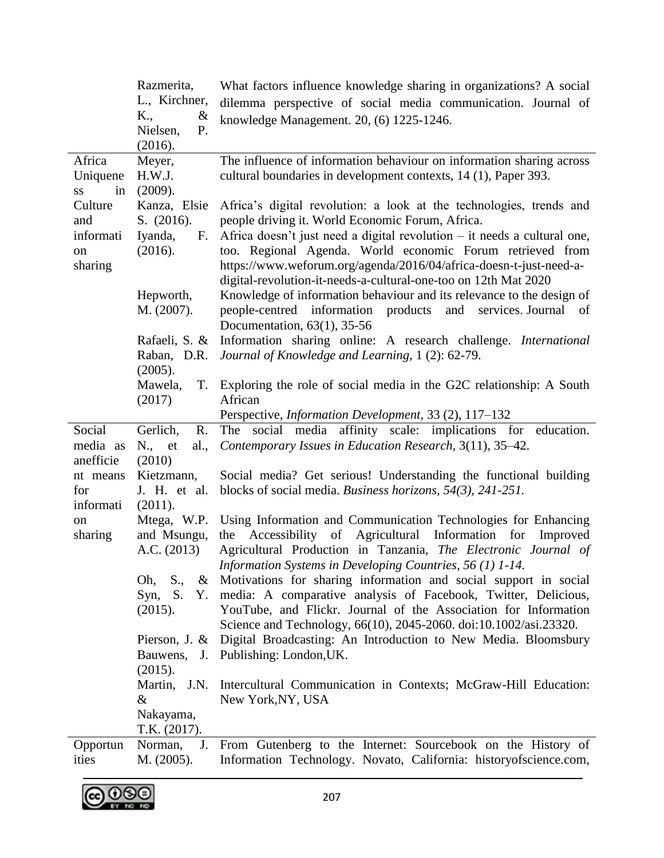|                                   | Razmerita,<br>L., Kirchner,<br>K.,<br>&<br>P.<br>Nielsen,        | What factors influence knowledge sharing in organizations? A social<br>dilemma perspective of social media communication. Journal of<br>knowledge Management. 20, (6) 1225-1246.                                                                                                                                 |
|-----------------------------------|------------------------------------------------------------------|------------------------------------------------------------------------------------------------------------------------------------------------------------------------------------------------------------------------------------------------------------------------------------------------------------------|
|                                   | (2016).                                                          |                                                                                                                                                                                                                                                                                                                  |
| Africa<br>Uniquene<br>in<br>SS    | Meyer,<br>H.W.J.<br>(2009).                                      | The influence of information behaviour on information sharing across<br>cultural boundaries in development contexts, 14 (1), Paper 393.                                                                                                                                                                          |
| Culture<br>and<br>informati<br>on | Kanza, Elsie<br>S. (2016).<br>Iyanda,<br>$F_{\cdot}$<br>(2016).  | Africa's digital revolution: a look at the technologies, trends and<br>people driving it. World Economic Forum, Africa.<br>Africa doesn't just need a digital revolution – it needs a cultural one,<br>too. Regional Agenda. World economic Forum retrieved from                                                 |
| sharing                           | Hepworth,<br>M. (2007).                                          | https://www.weforum.org/agenda/2016/04/africa-doesn-t-just-need-a-<br>digital-revolution-it-needs-a-cultural-one-too on 12th Mat 2020<br>Knowledge of information behaviour and its relevance to the design of<br>people-centred information products and<br>services. Journal of<br>Documentation, 63(1), 35-56 |
|                                   | Rafaeli, S. &<br>Raban, D.R.<br>(2005).                          | Information sharing online: A research challenge. International<br>Journal of Knowledge and Learning, 1 (2): 62-79.                                                                                                                                                                                              |
|                                   | Mawela,<br>(2017)                                                | T. Exploring the role of social media in the G2C relationship: A South<br>African<br>Perspective, Information Development, 33 (2), 117-132                                                                                                                                                                       |
| Social<br>media as<br>anefficie   | $\mathbf{R}$ .<br>Gerlich,<br>al.,<br>$N_{\cdot}$ , et<br>(2010) | The social media affinity scale: implications for education.<br>Contemporary Issues in Education Research, 3(11), 35–42.                                                                                                                                                                                         |
| nt means<br>for<br>informati      | Kietzmann,<br>J. H. et al.<br>(2011).                            | Social media? Get serious! Understanding the functional building<br>blocks of social media. Business horizons, $54(3)$ , $241-251$ .                                                                                                                                                                             |
| on<br>sharing                     | and Msungu,<br>A.C. (2013)                                       | Mtega, W.P. Using Information and Communication Technologies for Enhancing<br>the Accessibility of Agricultural Information for Improved<br>Agricultural Production in Tanzania, The Electronic Journal of<br>Information Systems in Developing Countries, 56 (1) 1-14.                                          |
|                                   | Oh,<br>S.,<br>Syn, S.<br>Υ.<br>(2015).                           | & Motivations for sharing information and social support in social<br>media: A comparative analysis of Facebook, Twitter, Delicious,<br>YouTube, and Flickr. Journal of the Association for Information<br>Science and Technology, 66(10), 2045-2060. doi:10.1002/asi.23320.                                     |
|                                   | Pierson, J. $\&$<br>(2015).                                      | Digital Broadcasting: An Introduction to New Media. Bloomsbury<br>Bauwens, J. Publishing: London, UK.                                                                                                                                                                                                            |
|                                   | Martin,<br>J.N.<br>&                                             | Intercultural Communication in Contexts; McGraw-Hill Education:<br>New York, NY, USA                                                                                                                                                                                                                             |
|                                   | Nakayama,<br>T.K. (2017).                                        |                                                                                                                                                                                                                                                                                                                  |

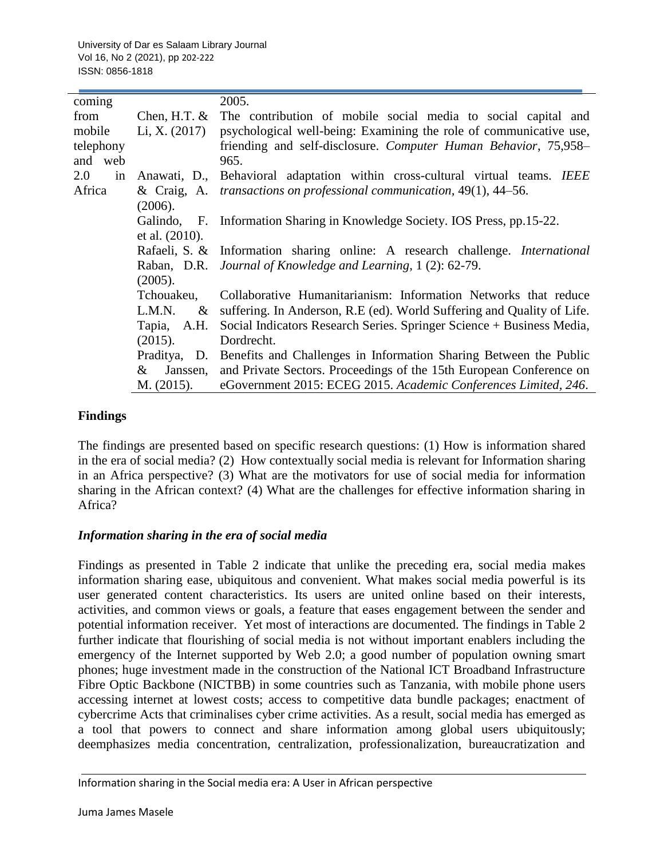| coming    |                   | 2005.                                                                        |  |  |
|-----------|-------------------|------------------------------------------------------------------------------|--|--|
| from      | Chen, H.T. $&$    | The contribution of mobile social media to social capital and                |  |  |
| mobile    | Li, X. $(2017)$   | psychological well-being: Examining the role of communicative use,           |  |  |
| telephony |                   | friending and self-disclosure. Computer Human Behavior, 75,958-              |  |  |
| and web   |                   | 965.                                                                         |  |  |
| 2.0<br>in |                   | Anawati, D., Behavioral adaptation within cross-cultural virtual teams. IEEE |  |  |
| Africa    |                   | & Craig, A. transactions on professional communication, 49(1), 44–56.        |  |  |
|           | (2006).           |                                                                              |  |  |
|           |                   | Galindo, F. Information Sharing in Knowledge Society. IOS Press, pp.15-22.   |  |  |
|           | et al. $(2010)$ . |                                                                              |  |  |
|           | Rafaeli, S. &     | Information sharing online: A research challenge. <i>International</i>       |  |  |
|           |                   | Raban, D.R. <i>Journal of Knowledge and Learning</i> , 1(2): 62-79.          |  |  |
|           | (2005).           |                                                                              |  |  |
|           | Tchouakeu,        | Collaborative Humanitarianism: Information Networks that reduce              |  |  |
|           | L.M.N.<br>$\&$    | suffering. In Anderson, R.E (ed). World Suffering and Quality of Life.       |  |  |
|           | Tapia, A.H.       | Social Indicators Research Series. Springer Science + Business Media,        |  |  |
|           | (2015).           | Dordrecht.                                                                   |  |  |
|           | Praditya, D.      | Benefits and Challenges in Information Sharing Between the Public            |  |  |
|           | $\&$<br>Janssen,  | and Private Sectors. Proceedings of the 15th European Conference on          |  |  |
|           | M. (2015).        | eGovernment 2015: ECEG 2015. Academic Conferences Limited, 246.              |  |  |

### **Findings**

The findings are presented based on specific research questions: (1) How is information shared in the era of social media? (2) How contextually social media is relevant for Information sharing in an Africa perspective? (3) What are the motivators for use of social media for information sharing in the African context? (4) What are the challenges for effective information sharing in Africa?

### *Information sharing in the era of social media*

Findings as presented in Table 2 indicate that unlike the preceding era, social media makes information sharing ease, ubiquitous and convenient. What makes social media powerful is its user generated content characteristics. Its users are united online based on their interests, activities, and common views or goals, a feature that eases engagement between the sender and potential information receiver. Yet most of interactions are documented. The findings in Table 2 further indicate that flourishing of social media is not without important enablers including the emergency of the Internet supported by Web 2.0; a good number of population owning smart phones; huge investment made in the construction of the National ICT Broadband Infrastructure Fibre Optic Backbone (NICTBB) in some countries such as Tanzania, with mobile phone users accessing internet at lowest costs; access to competitive data bundle packages; enactment of cybercrime Acts that criminalises cyber crime activities. As a result, social media has emerged as a tool that powers to connect and share information among global users ubiquitously; deemphasizes media concentration, centralization, professionalization, bureaucratization and

Information sharing in the Social media era: A User in African perspective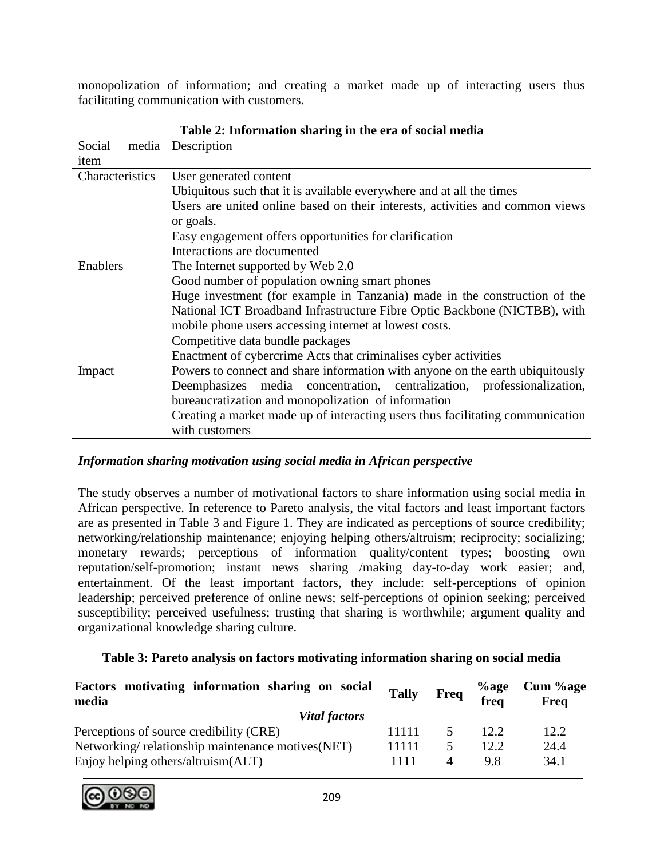monopolization of information; and creating a market made up of interacting users thus facilitating communication with customers.

|                 | n miormanon bharm. In the era of boeian means                                  |
|-----------------|--------------------------------------------------------------------------------|
| Social          | media Description                                                              |
| item            |                                                                                |
| Characteristics | User generated content                                                         |
|                 | Ubiquitous such that it is available everywhere and at all the times           |
|                 | Users are united online based on their interests, activities and common views  |
|                 | or goals.                                                                      |
|                 | Easy engagement offers opportunities for clarification                         |
|                 | Interactions are documented                                                    |
| Enablers        | The Internet supported by Web 2.0                                              |
|                 | Good number of population owning smart phones                                  |
|                 | Huge investment (for example in Tanzania) made in the construction of the      |
|                 | National ICT Broadband Infrastructure Fibre Optic Backbone (NICTBB), with      |
|                 | mobile phone users accessing internet at lowest costs.                         |
|                 | Competitive data bundle packages                                               |
|                 | Enactment of cybercrime Acts that criminalises cyber activities                |
| Impact          | Powers to connect and share information with anyone on the earth ubiquitously  |
|                 | Deemphasizes media concentration, centralization, professionalization,         |
|                 | bureaucratization and monopolization of information                            |
|                 | Creating a market made up of interacting users thus facilitating communication |
|                 | with customers                                                                 |

### **Table 2: Information sharing in the era of social media**

# *Information sharing motivation using social media in African perspective*

The study observes a number of motivational factors to share information using social media in African perspective. In reference to Pareto analysis, the vital factors and least important factors are as presented in Table 3 and Figure 1. They are indicated as perceptions of source credibility; networking/relationship maintenance; enjoying helping others/altruism; reciprocity; socializing; monetary rewards; perceptions of information quality/content types; boosting own reputation/self-promotion; instant news sharing /making day-to-day work easier; and, entertainment. Of the least important factors, they include: self-perceptions of opinion leadership; perceived preference of online news; self-perceptions of opinion seeking; perceived susceptibility; perceived usefulness; trusting that sharing is worthwhile; argument quality and organizational knowledge sharing culture.

### **Table 3: Pareto analysis on factors motivating information sharing on social media**

| Factors motivating information sharing on social<br>media | <b>Tally</b> | Freq     | $\%$ age<br>freq | Cum %age<br>Freq |
|-----------------------------------------------------------|--------------|----------|------------------|------------------|
| <b>Vital factors</b>                                      |              |          |                  |                  |
| Perceptions of source credibility (CRE)                   | 11111        |          | 12.2.            | 12.2             |
| Networking/relationship maintenance motives (NET)         | 11111        | 5        | 12.2             | 24.4             |
| Enjoy helping others/altruism(ALT)                        | 1111         | $\Delta$ | 9.8              | 34.1             |

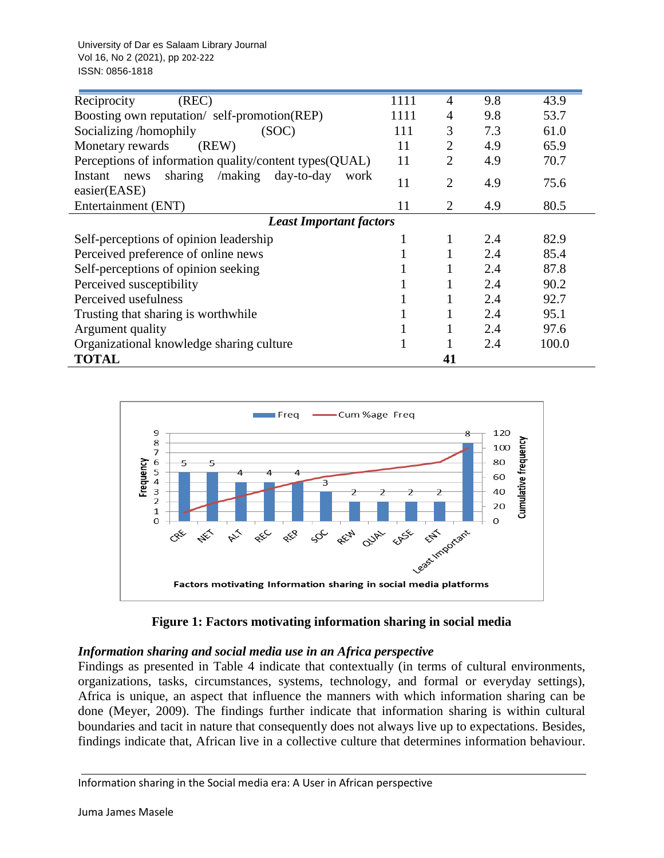University of Dar es Salaam Library Journal Vol 16, No 2 (2021), pp 202-222 ISSN: 0856-1818

| (REC)<br>Reciprocity                                                  | 1111 | 4              | 9.8 | 43.9  |
|-----------------------------------------------------------------------|------|----------------|-----|-------|
| Boosting own reputation/ self-promotion(REP)                          | 1111 | 4              | 9.8 | 53.7  |
| Socializing /homophily<br>(SOC)                                       |      | 3              | 7.3 | 61.0  |
| Monetary rewards<br>(REW)                                             | 11   | $\overline{2}$ | 4.9 | 65.9  |
| Perceptions of information quality/content types(QUAL)                | 11   | $\overline{2}$ | 4.9 | 70.7  |
| /making day-to-day<br>sharing<br>Instant news<br>work<br>easier(EASE) | 11   | $\overline{2}$ | 4.9 | 75.6  |
| Entertainment (ENT)                                                   | 11   | $\overline{2}$ | 4.9 | 80.5  |
| <b>Least Important factors</b>                                        |      |                |     |       |
| Self-perceptions of opinion leadership                                |      | 1              | 2.4 | 82.9  |
| Perceived preference of online news                                   |      |                | 2.4 | 85.4  |
| Self-perceptions of opinion seeking                                   |      |                | 2.4 | 87.8  |
| Perceived susceptibility                                              |      |                | 2.4 | 90.2  |
| Perceived usefulness                                                  |      |                | 2.4 | 92.7  |
| Trusting that sharing is worthwhile                                   |      |                | 2.4 | 95.1  |
| Argument quality                                                      |      |                | 2.4 | 97.6  |
| Organizational knowledge sharing culture                              |      |                | 2.4 | 100.0 |
| <b>TOTAL</b>                                                          |      | 41             |     |       |





# *Information sharing and social media use in an Africa perspective*

Findings as presented in Table 4 indicate that contextually (in terms of cultural environments, organizations, tasks, circumstances, systems, technology, and formal or everyday settings), Africa is unique, an aspect that influence the manners with which information sharing can be done (Meyer, 2009). The findings further indicate that information sharing is within cultural boundaries and tacit in nature that consequently does not always live up to expectations. Besides, findings indicate that, African live in a collective culture that determines information behaviour.

#### Information sharing in the Social media era: A User in African perspective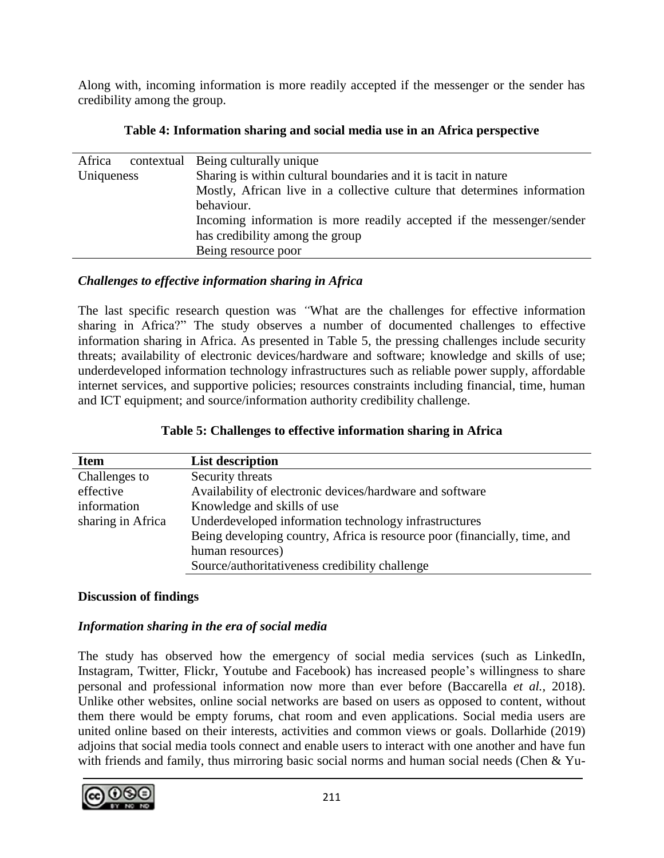Along with, incoming information is more readily accepted if the messenger or the sender has credibility among the group.

| Africa     |  | contextual Being culturally unique                                       |
|------------|--|--------------------------------------------------------------------------|
| Uniqueness |  | Sharing is within cultural boundaries and it is tacit in nature          |
|            |  | Mostly, African live in a collective culture that determines information |
|            |  | behaviour.                                                               |
|            |  | Incoming information is more readily accepted if the messenger/sender    |
|            |  | has credibility among the group                                          |
|            |  | Being resource poor                                                      |
|            |  |                                                                          |

# **Table 4: Information sharing and social media use in an Africa perspective**

# *Challenges to effective information sharing in Africa*

The last specific research question was *"*What are the challenges for effective information sharing in Africa?" The study observes a number of documented challenges to effective information sharing in Africa. As presented in Table 5, the pressing challenges include security threats; availability of electronic devices/hardware and software; knowledge and skills of use; underdeveloped information technology infrastructures such as reliable power supply, affordable internet services, and supportive policies; resources constraints including financial, time, human and ICT equipment; and source/information authority credibility challenge.

# **Table 5: Challenges to effective information sharing in Africa**

| <b>Item</b>       | <b>List description</b>                                                   |
|-------------------|---------------------------------------------------------------------------|
| Challenges to     | Security threats                                                          |
| effective         | Availability of electronic devices/hardware and software                  |
| information       | Knowledge and skills of use                                               |
| sharing in Africa | Underdeveloped information technology infrastructures                     |
|                   | Being developing country, Africa is resource poor (financially, time, and |
|                   | human resources)                                                          |
|                   | Source/authoritativeness credibility challenge                            |

# **Discussion of findings**

# *Information sharing in the era of social media*

The study has observed how the emergency of social media services (such as LinkedIn, Instagram, Twitter, Flickr, Youtube and Facebook) has increased people's willingness to share personal and professional information now more than ever before (Baccarella *et al.,* 2018). Unlike other websites, online social networks are based on users as opposed to content, without them there would be empty forums, chat room and even applications. Social media users are united online based on their interests, activities and common views or goals. Dollarhide (2019) adjoins that social media tools connect and enable users to interact with one another and have fun with friends and family, thus mirroring basic social norms and human social needs (Chen & Yu-

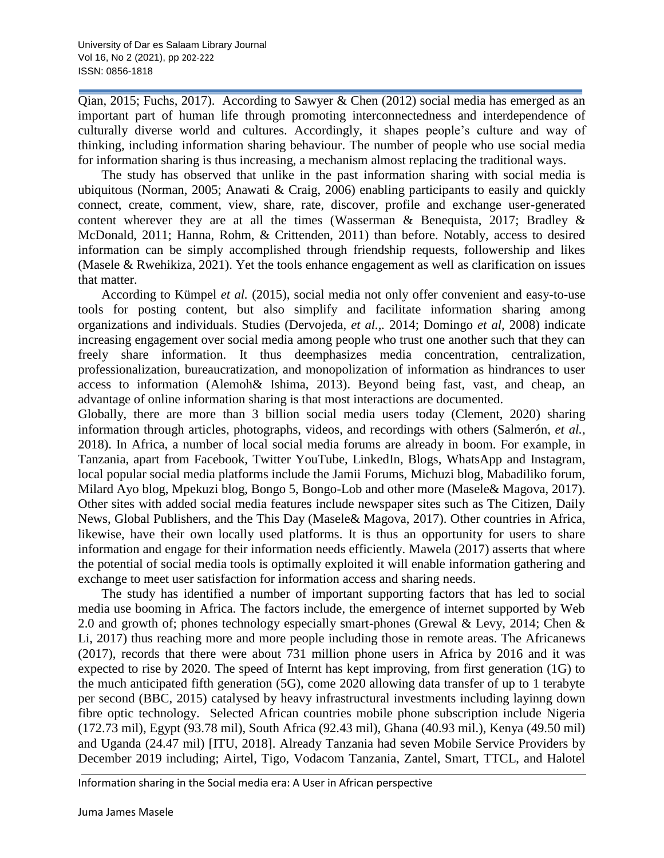Qian, 2015; Fuchs, 2017). According to Sawyer & Chen (2012) social media has emerged as an important part of human life through promoting interconnectedness and interdependence of culturally diverse world and cultures. Accordingly, it shapes people's culture and way of thinking, including information sharing behaviour. The number of people who use social media for information sharing is thus increasing, a mechanism almost replacing the traditional ways.

The study has observed that unlike in the past information sharing with social media is ubiquitous (Norman, 2005; Anawati & Craig, 2006) enabling participants to easily and quickly connect, create, comment, view, share, rate, discover, profile and exchange user-generated content wherever they are at all the times (Wasserman & Benequista, 2017; Bradley & McDonald, 2011; Hanna, Rohm, & Crittenden, 2011) than before. Notably, access to desired information can be simply accomplished through friendship requests, followership and likes (Masele & Rwehikiza, 2021). Yet the tools enhance engagement as well as clarification on issues that matter.

According to Kümpel *et al.* (2015), social media not only offer convenient and easy-to-use tools for posting content, but also simplify and facilitate information sharing among organizations and individuals. Studies (Dervojeda, *et al.,.* 2014; Domingo *et al,* 2008) indicate increasing engagement over social media among people who trust one another such that they can freely share information. It thus deemphasizes media concentration, centralization, professionalization, bureaucratization, and monopolization of information as hindrances to user access to information (Alemoh& Ishima, 2013). Beyond being fast, vast, and cheap, an advantage of online information sharing is that most interactions are documented.

Globally, there are more than 3 billion social media users today (Clement, 2020) sharing information through articles, photographs, videos, and recordings with others (Salmerón, *et al.,* 2018). In Africa, a number of local social media forums are already in boom. For example, in Tanzania, apart from Facebook, Twitter YouTube, LinkedIn, Blogs, WhatsApp and Instagram, local popular social media platforms include the Jamii Forums, Michuzi blog, Mabadiliko forum, Milard Ayo blog, Mpekuzi blog, Bongo 5, Bongo-Lob and other more (Masele& Magova, 2017). Other sites with added social media features include newspaper sites such as The Citizen, Daily News, Global Publishers, and the This Day (Masele& Magova, 2017). Other countries in Africa, likewise, have their own locally used platforms. It is thus an opportunity for users to share information and engage for their information needs efficiently. Mawela (2017) asserts that where the potential of social media tools is optimally exploited it will enable information gathering and exchange to meet user satisfaction for information access and sharing needs.

The study has identified a number of important supporting factors that has led to social media use booming in Africa. The factors include, the emergence of internet supported by Web 2.0 and growth of; phones technology especially smart-phones (Grewal & Levy, 2014; Chen & Li, 2017) thus reaching more and more people including those in remote areas. The Africanews (2017), records that there were about 731 million phone users in Africa by 2016 and it was expected to rise by 2020. The speed of Internt has kept improving, from first generation (1G) to the much anticipated fifth generation (5G), come 2020 allowing data transfer of up to 1 terabyte per second (BBC, 2015) catalysed by heavy infrastructural investments including layinng down fibre optic technology. Selected African countries mobile phone subscription include Nigeria (172.73 mil), Egypt (93.78 mil), South Africa (92.43 mil), Ghana (40.93 mil.), Kenya (49.50 mil) and Uganda (24.47 mil) [ITU, 2018]. Already Tanzania had seven Mobile Service Providers by December 2019 including; Airtel, Tigo, Vodacom Tanzania, Zantel, Smart, TTCL, and Halotel

Information sharing in the Social media era: A User in African perspective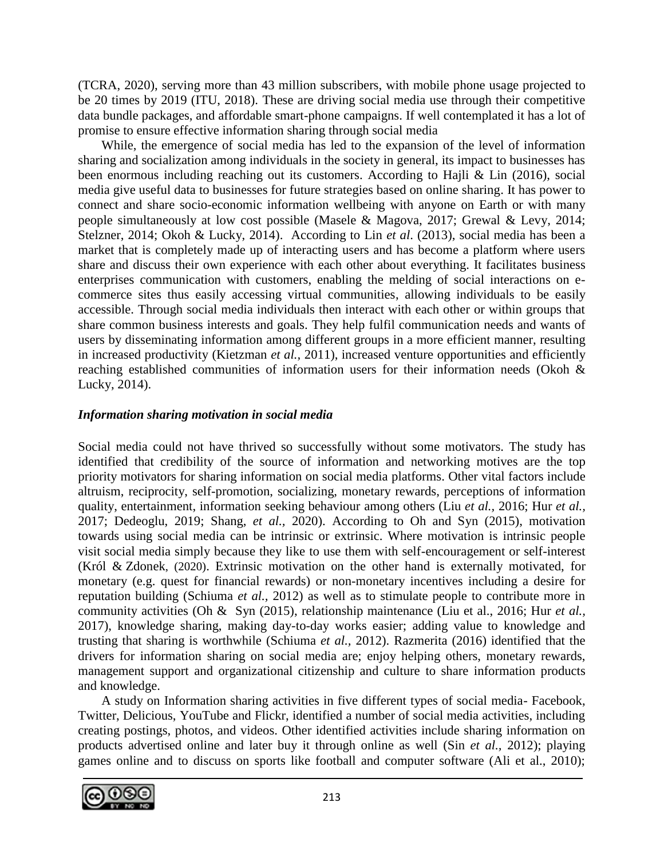(TCRA, 2020), serving more than 43 million subscribers, with mobile phone usage projected to be 20 times by 2019 (ITU, 2018). These are driving social media use through their competitive data bundle packages, and affordable smart-phone campaigns. If well contemplated it has a lot of promise to ensure effective information sharing through social media

While, the emergence of social media has led to the expansion of the level of information sharing and socialization among individuals in the society in general, its impact to businesses has been enormous including reaching out its customers. According to Hajli & Lin (2016), social media give useful data to businesses for future strategies based on online sharing. It has power to connect and share socio-economic information wellbeing with anyone on Earth or with many people simultaneously at low cost possible (Masele & Magova, 2017; Grewal & Levy, 2014; Stelzner, 2014; Okoh & Lucky, 2014). According to Lin *et al*. (2013), social media has been a market that is completely made up of interacting users and has become a platform where users share and discuss their own experience with each other about everything. It facilitates business enterprises communication with customers, enabling the melding of social interactions on ecommerce sites thus easily accessing virtual communities, allowing individuals to be easily accessible. Through social media individuals then interact with each other or within groups that share common business interests and goals. They help fulfil communication needs and wants of users by disseminating information among different groups in a more efficient manner, resulting in increased productivity (Kietzman *et al.,* 2011), increased venture opportunities and efficiently reaching established communities of information users for their information needs (Okoh & Lucky, 2014).

# *Information sharing motivation in social media*

Social media could not have thrived so successfully without some motivators. The study has identified that credibility of the source of information and networking motives are the top priority motivators for sharing information on social media platforms. Other vital factors include altruism, reciprocity, self-promotion, socializing, monetary rewards, perceptions of information quality, entertainment, information seeking behaviour among others (Liu *et al.,* 2016; Hur *et al.,* 2017; Dedeoglu, 2019; Shang, *et al.,* 2020). According to Oh and Syn (2015), motivation towards using social media can be intrinsic or extrinsic. Where motivation is intrinsic people visit social media simply because they like to use them with self-encouragement or self-interest [\(Król](https://www.emerald.com/insight/search?q=Karol%20Kr%C3%B3l) & [Zdonek](https://www.emerald.com/insight/search?q=Karol%20Kr%C3%B3l), (2020). Extrinsic motivation on the other hand is externally motivated, for monetary (e.g. quest for financial rewards) or non-monetary incentives including a desire for reputation building (Schiuma *et al.,* 2012) as well as to stimulate people to contribute more in community activities (Oh & Syn (2015), relationship maintenance (Liu et al., 2016; Hur *et al.,* 2017), knowledge sharing, making day-to-day works easier; adding value to knowledge and trusting that sharing is worthwhile (Schiuma *et al.,* 2012). Razmerita (2016) identified that the drivers for information sharing on social media are; enjoy helping others, monetary rewards, management support and organizational citizenship and culture to share information products and knowledge.

A study on Information sharing activities in five different types of social media- Facebook, Twitter, Delicious, YouTube and Flickr, identified a number of social media activities, including creating postings, photos, and videos. Other identified activities include sharing information on products advertised online and later buy it through online as well (Sin *et al.,* 2012); playing games online and to discuss on sports like football and computer software (Ali et al., 2010);

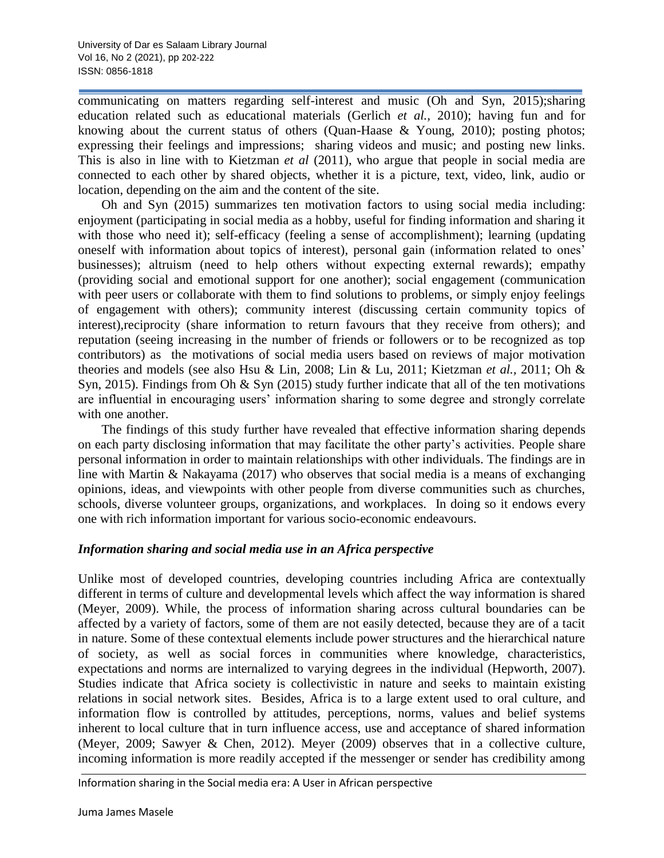communicating on matters regarding self-interest and music (Oh and Syn, 2015);sharing education related such as educational materials (Gerlich *et al.,* 2010); having fun and for knowing about the current status of others (Quan-Haase & Young, 2010); posting photos; expressing their feelings and impressions; sharing videos and music; and posting new links. This is also in line with to Kietzman *et al* (2011), who argue that people in social media are connected to each other by shared objects, whether it is a picture, text, video, link, audio or location, depending on the aim and the content of the site.

Oh and Syn (2015) summarizes ten motivation factors to using social media including: enjoyment (participating in social media as a hobby, useful for finding information and sharing it with those who need it); self-efficacy (feeling a sense of accomplishment); learning (updating oneself with information about topics of interest), personal gain (information related to ones' businesses); altruism (need to help others without expecting external rewards); empathy (providing social and emotional support for one another); social engagement (communication with peer users or collaborate with them to find solutions to problems, or simply enjoy feelings of engagement with others); community interest (discussing certain community topics of interest),reciprocity (share information to return favours that they receive from others); and reputation (seeing increasing in the number of friends or followers or to be recognized as top contributors) as the motivations of social media users based on reviews of major motivation theories and models (see also Hsu & Lin, 2008; Lin & Lu, 2011; Kietzman *et al.,* 2011; Oh & Syn, 2015). Findings from Oh & Syn (2015) study further indicate that all of the ten motivations are influential in encouraging users' information sharing to some degree and strongly correlate with one another.

The findings of this study further have revealed that effective information sharing depends on each party disclosing information that may facilitate the other party's activities. People share personal information in order to maintain relationships with other individuals. The findings are in line with Martin & Nakayama (2017) who observes that social media is a means of exchanging opinions, ideas, and viewpoints with other people from diverse communities such as churches, schools, diverse volunteer groups, organizations, and workplaces. In doing so it endows every one with rich information important for various socio-economic endeavours.

### *Information sharing and social media use in an Africa perspective*

Unlike most of developed countries, developing countries including Africa are contextually different in terms of culture and developmental levels which affect the way information is shared (Meyer, 2009). While, the process of information sharing across cultural boundaries can be affected by a variety of factors, some of them are not easily detected, because they are of a tacit in nature. Some of these contextual elements include power structures and the hierarchical nature of society, as well as social forces in communities where knowledge, characteristics, expectations and norms are internalized to varying degrees in the individual (Hepworth, 2007). Studies indicate that Africa society is collectivistic in nature and seeks to maintain existing relations in social network sites. Besides, Africa is to a large extent used to oral culture, and information flow is controlled by attitudes, perceptions, norms, values and belief systems inherent to local culture that in turn influence access, use and acceptance of shared information (Meyer, 2009; Sawyer & Chen, 2012). Meyer (2009) observes that in a collective culture, incoming information is more readily accepted if the messenger or sender has credibility among

Information sharing in the Social media era: A User in African perspective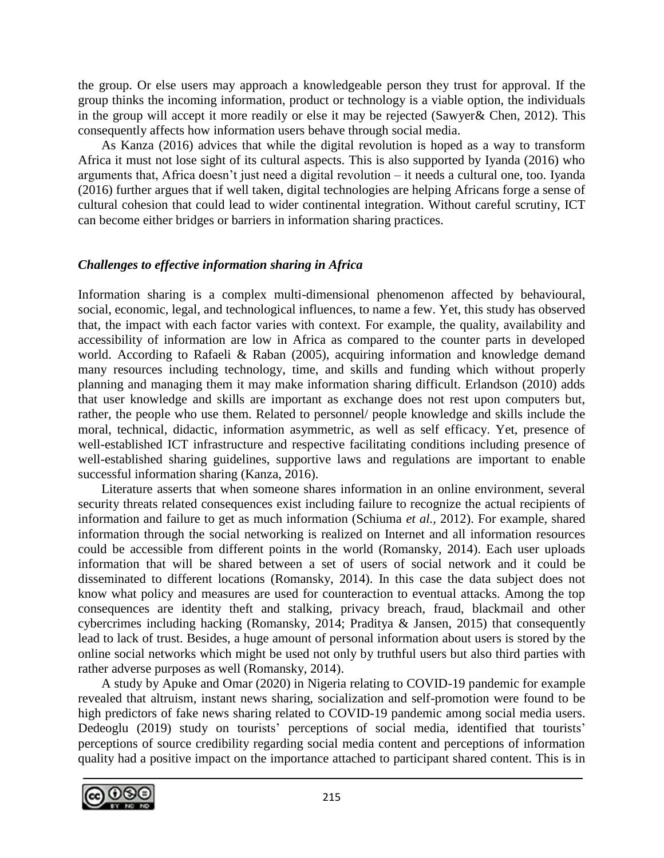the group. Or else users may approach a knowledgeable person they trust for approval. If the group thinks the incoming information, product or technology is a viable option, the individuals in the group will accept it more readily or else it may be rejected (Sawyer& Chen, 2012). This consequently affects how information users behave through social media.

As Kanza (2016) advices that while the digital revolution is hoped as a way to transform Africa it must not lose sight of its cultural aspects. This is also supported by Iyanda (2016) who arguments that, Africa doesn't just need a digital revolution – it needs a cultural one, too. Iyanda (2016) further argues that if well taken, digital technologies are helping Africans forge a sense of cultural cohesion that could lead to wider continental integration. Without careful scrutiny, ICT can become either bridges or barriers in information sharing practices.

### *Challenges to effective information sharing in Africa*

Information sharing is a complex multi-dimensional phenomenon affected by behavioural, social, economic, legal, and technological influences, to name a few. Yet, this study has observed that, the impact with each factor varies with context. For example, the quality, availability and accessibility of information are low in Africa as compared to the counter parts in developed world. According to Rafaeli & Raban (2005), acquiring information and knowledge demand many resources including technology, time, and skills and funding which without properly planning and managing them it may make information sharing difficult. Erlandson (2010) adds that user knowledge and skills are important as exchange does not rest upon computers but, rather, the people who use them. Related to personnel/ people knowledge and skills include the moral, technical, didactic, information asymmetric, as well as self efficacy. Yet, presence of well-established ICT infrastructure and respective facilitating conditions including presence of well-established sharing guidelines, supportive laws and regulations are important to enable successful information sharing (Kanza, 2016).

Literature asserts that when someone shares information in an online environment, several security threats related consequences exist including failure to recognize the actual recipients of information and failure to get as much information (Schiuma *et al.,* 2012). For example, shared information through the social networking is realized on Internet and all information resources could be accessible from different points in the world (Romansky, 2014). Each user uploads information that will be shared between a set of users of social network and it could be disseminated to different locations (Romansky, 2014). In this case the data subject does not know what policy and measures are used for counteraction to eventual attacks. Among the top consequences are identity theft and stalking, privacy breach, fraud, blackmail and other cybercrimes including hacking (Romansky, 2014; Praditya & Jansen, 2015) that consequently lead to lack of trust. Besides, a huge amount of personal information about users is stored by the online social networks which might be used not only by truthful users but also third parties with rather adverse purposes as well (Romansky, 2014).

A study by Apuke and Omar (2020) in Nigeria relating to COVID-19 pandemic for example revealed that altruism, instant news sharing, socialization and self-promotion were found to be high predictors of fake news sharing related to COVID-19 pandemic among social media users. Dedeoglu (2019) study on tourists' perceptions of social media, identified that tourists' perceptions of source credibility regarding social media content and perceptions of information quality had a positive impact on the importance attached to participant shared content. This is in

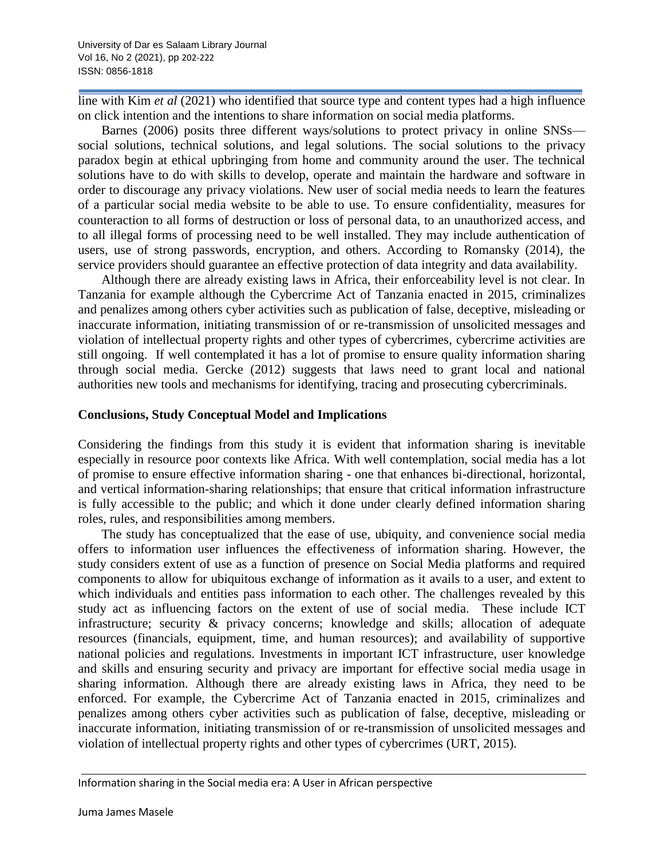line with Kim *et al* (2021) who identified that source type and content types had a high influence on click intention and the intentions to share information on social media platforms.

Barnes (2006) posits three different ways/solutions to protect privacy in online SNSs social solutions, technical solutions, and legal solutions. The social solutions to the privacy paradox begin at ethical upbringing from home and community around the user. The technical solutions have to do with skills to develop, operate and maintain the hardware and software in order to discourage any privacy violations. New user of social media needs to learn the features of a particular social media website to be able to use. To ensure confidentiality, measures for counteraction to all forms of destruction or loss of personal data, to an unauthorized access, and to all illegal forms of processing need to be well installed. They may include authentication of users, use of strong passwords, encryption, and others. According to Romansky (2014), the service providers should guarantee an effective protection of data integrity and data availability.

Although there are already existing laws in Africa, their enforceability level is not clear. In Tanzania for example although the Cybercrime Act of Tanzania enacted in 2015, criminalizes and penalizes among others cyber activities such as publication of false, deceptive, misleading or inaccurate information, initiating transmission of or re-transmission of unsolicited messages and violation of intellectual property rights and other types of cybercrimes, cybercrime activities are still ongoing. If well contemplated it has a lot of promise to ensure quality information sharing through social media. Gercke (2012) suggests that laws need to grant local and national authorities new tools and mechanisms for identifying, tracing and prosecuting cybercriminals.

### **Conclusions, Study Conceptual Model and Implications**

Considering the findings from this study it is evident that information sharing is inevitable especially in resource poor contexts like Africa. With well contemplation, social media has a lot of promise to ensure effective information sharing - one that enhances bi-directional, horizontal, and vertical information-sharing relationships; that ensure that critical information infrastructure is fully accessible to the public; and which it done under clearly defined information sharing roles, rules, and responsibilities among members.

The study has conceptualized that the ease of use, ubiquity, and convenience social media offers to information user influences the effectiveness of information sharing. However, the study considers extent of use as a function of presence on Social Media platforms and required components to allow for ubiquitous exchange of information as it avails to a user, and extent to which individuals and entities pass information to each other. The challenges revealed by this study act as influencing factors on the extent of use of social media. These include ICT infrastructure; security & privacy concerns; knowledge and skills; allocation of adequate resources (financials, equipment, time, and human resources); and availability of supportive national policies and regulations. Investments in important ICT infrastructure, user knowledge and skills and ensuring security and privacy are important for effective social media usage in sharing information. Although there are already existing laws in Africa, they need to be enforced. For example, the Cybercrime Act of Tanzania enacted in 2015, criminalizes and penalizes among others cyber activities such as publication of false, deceptive, misleading or inaccurate information, initiating transmission of or re-transmission of unsolicited messages and violation of intellectual property rights and other types of cybercrimes (URT, 2015).

Information sharing in the Social media era: A User in African perspective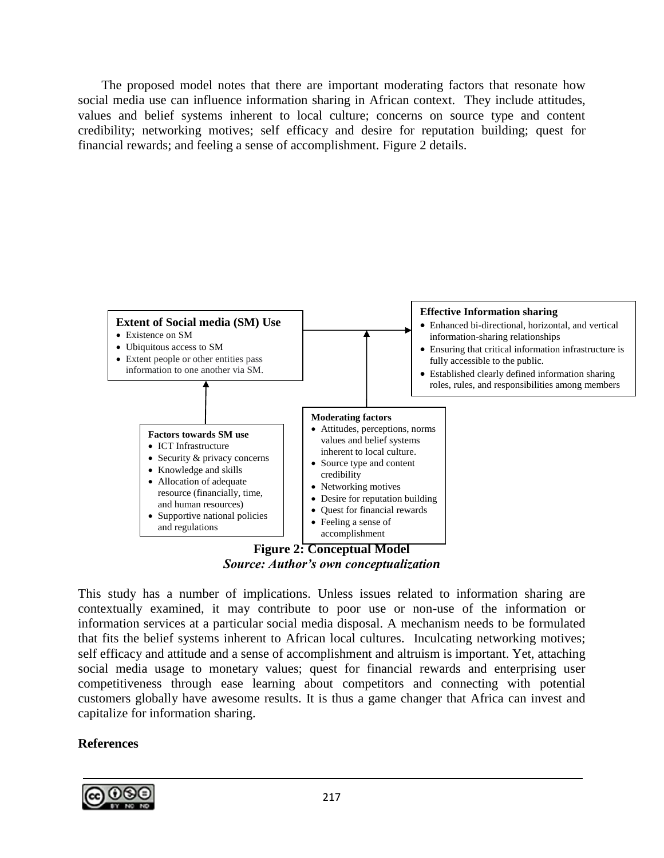The proposed model notes that there are important moderating factors that resonate how social media use can influence information sharing in African context. They include attitudes, values and belief systems inherent to local culture; concerns on source type and content credibility; networking motives; self efficacy and desire for reputation building; quest for financial rewards; and feeling a sense of accomplishment. Figure 2 details.



*Source: Author's own conceptualization*

This study has a number of implications. Unless issues related to information sharing are contextually examined, it may contribute to poor use or non-use of the information or information services at a particular social media disposal. A mechanism needs to be formulated that fits the belief systems inherent to African local cultures. Inculcating networking motives; self efficacy and attitude and a sense of accomplishment and altruism is important. Yet, attaching social media usage to monetary values; quest for financial rewards and enterprising user competitiveness through ease learning about competitors and connecting with potential customers globally have awesome results. It is thus a game changer that Africa can invest and capitalize for information sharing.

# **References**

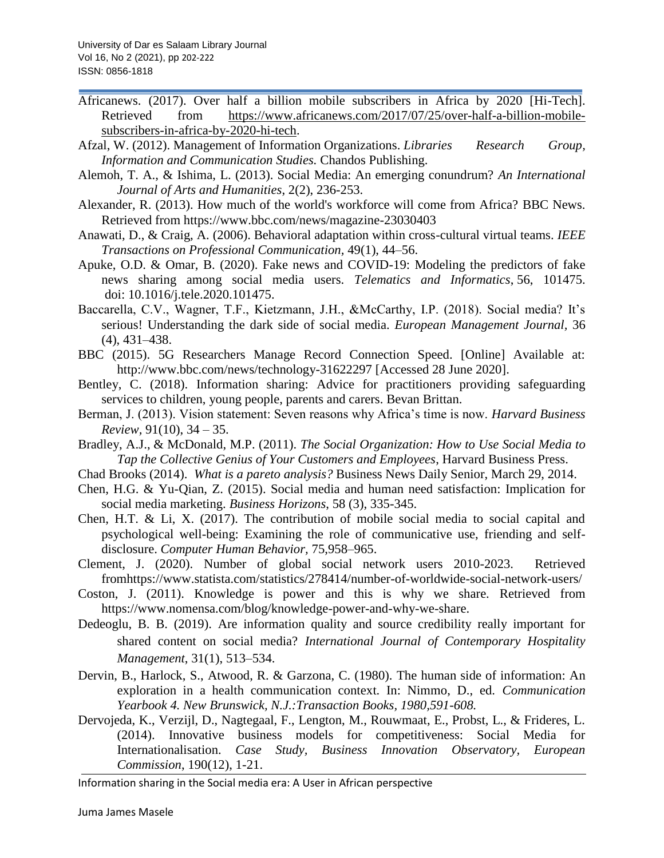- Africanews. (2017). Over half a billion mobile subscribers in Africa by 2020 [Hi-Tech]. Retrieved from [https://www.africanews.com/2017/07/25/over-half-a-billion-mobile](https://www.africanews.com/2017/07/25/over-half-a-billion-mobile-subscribers-in-africa-by-2020-hi-tech)[subscribers-in-africa-by-2020-hi-tech.](https://www.africanews.com/2017/07/25/over-half-a-billion-mobile-subscribers-in-africa-by-2020-hi-tech)
- Afzal, W. (2012). Management of Information Organizations. *Libraries Research Group*, *Information and Communication Studies.* Chandos Publishing.
- Alemoh, T. A., & Ishima, L. (2013). Social Media: An emerging conundrum? *An International Journal of Arts and Humanities*, 2(2), 236-253.
- Alexander, R. (2013). How much of the world's workforce will come from Africa? BBC News. Retrieved from https://www.bbc.com/news/magazine-23030403
- Anawati, D., & Craig, A. (2006). Behavioral adaptation within cross-cultural virtual teams. *IEEE Transactions on Professional Communication,* 49(1), 44–56.
- Apuke, O.D. & Omar, B. (2020). Fake news and COVID-19: Modeling the predictors of fake news sharing among social media users. *Telematics and Informatics*, 56, 101475. doi: 10.1016/j.tele.2020.101475.
- Baccarella, C.V., Wagner, T.F., Kietzmann, J.H., &McCarthy, I.P. (2018). Social media? It's serious! Understanding the dark side of social media. *European Management Journal,* 36 (4), 431–438.
- BBC (2015). 5G Researchers Manage Record Connection Speed. [Online] Available at: http://www.bbc.com/news/technology-31622297 [Accessed 28 June 2020].
- Bentley, C. (2018). Information sharing: Advice for practitioners providing safeguarding services to children, young people, parents and carers. Bevan Brittan.
- Berman, J. (2013). Vision statement: Seven reasons why Africa's time is now. *Harvard Business Review,* 91(10), 34 – 35.
- Bradley, A.J., & McDonald, M.P. (2011). *The Social Organization: How to Use Social Media to Tap the Collective Genius of Your Customers and Employees*, Harvard Business Press.
- Chad Brooks (2014). *What is a pareto analysis?* Business News Daily Senior, March 29, 2014.
- Chen, H.G. & Yu-Qian, Z. (2015). Social media and human need satisfaction: Implication for social media marketing. *Business Horizons*, 58 (3), 335-345.
- Chen, H.T. & Li, X. (2017). The contribution of mobile social media to social capital and psychological well-being: Examining the role of communicative use, friending and selfdisclosure. *Computer Human Behavior,* 75,958–965.
- Clement, J. (2020). Number of global social network users 2010-2023. Retrieved fromhttps://www.statista.com/statistics/278414/number-of-worldwide-social-network-users/
- Coston, J. (2011). Knowledge is power and this is why we share. Retrieved from https://www.nomensa.com/blog/knowledge-power-and-why-we-share.
- Dedeoglu, B. B. (2019). Are information quality and source credibility really important for shared content on social media? *International Journal of Contemporary Hospitality Management*, 31(1), 513–534.
- Dervin, B., Harlock, S., Atwood, R. & Garzona, C. (1980). The human side of information: An exploration in a health communication context. In: Nimmo, D., ed. *Communication Yearbook 4. New Brunswick, N.J.:Transaction Books, 1980,591-608.*
- Dervojeda, K., Verzijl, D., Nagtegaal, F., Lengton, M., Rouwmaat, E., Probst, L., & Frideres, L. (2014). Innovative business models for competitiveness: Social Media for Internationalisation. *Case Study, Business Innovation Observatory, European Commission*, 190(12), 1-21.

Information sharing in the Social media era: A User in African perspective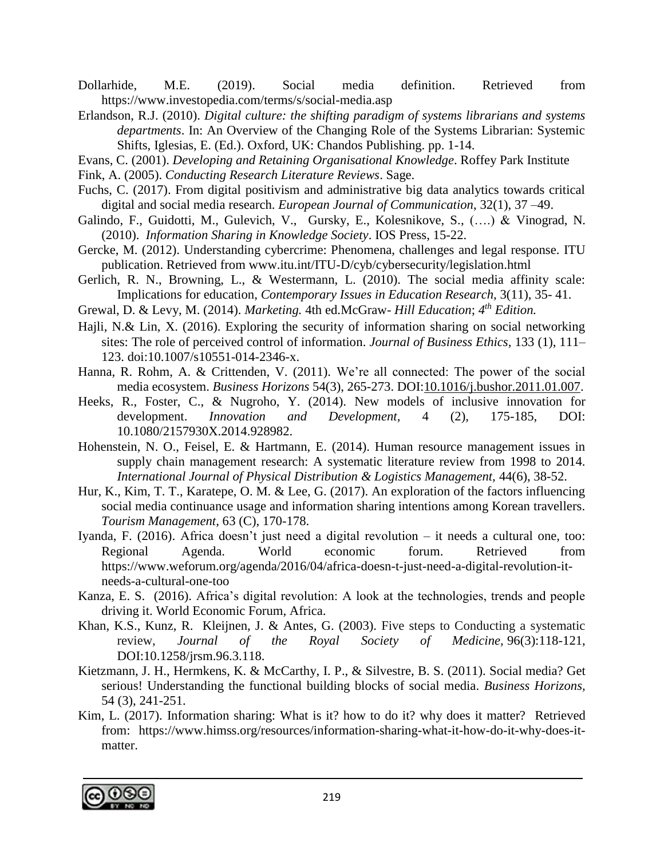Dollarhide, M.E. (2019). Social media definition. Retrieved from https://www.investopedia.com/terms/s/social-media.asp

- Erlandson, R.J. (2010). *Digital culture: the shifting paradigm of systems librarians and systems departments*. In: An Overview of the Changing Role of the Systems Librarian: Systemic Shifts, Iglesias, E. (Ed.). Oxford, UK: Chandos Publishing. pp. 1-14.
- Evans, C. (2001). *Developing and Retaining Organisational Knowledge*. Roffey Park Institute
- Fink, A. (2005). *Conducting Research Literature Reviews*. Sage.
- Fuchs, C. (2017). From digital positivism and administrative big data analytics towards critical digital and social media research. *European Journal of Communication*, 32(1), 37 –49.
- Galindo, F., Guidotti, M., Gulevich, V., Gursky, E., Kolesnikove, S., (….) & Vinograd, N. (2010). *Information Sharing in Knowledge Society*. IOS Press, 15-22.
- Gercke, M. (2012). Understanding cybercrime: Phenomena, challenges and legal response. ITU publication. Retrieved from www.itu.int/ITU-D/cyb/cybersecurity/legislation.html
- Gerlich, R. N., Browning, L., & Westermann, L. (2010). The social media affinity scale: Implications for education, *Contemporary Issues in Education Research,* 3(11), 35- 41.
- Grewal, D. & Levy, M. (2014). *Marketing.* 4th ed.McGraw- *Hill Education*; *4 th Edition.*
- Hajli, N.& Lin, X. (2016). Exploring the security of information sharing on social networking sites: The role of perceived control of information. *Journal of Business Ethics,* 133 (1), 111– 123. [doi:](https://en.wikipedia.org/wiki/Doi_(identifier))10.1007/s10551-014-2346-x.
- Hanna, R. Rohm, A. & Crittenden, V. (2011). We're all connected: The power of the social media ecosystem. *Business Horizons* 54(3), 265-273. DOI[:10.1016/j.bushor.2011.01.007.](http://dx.doi.org/10.1016/j.bushor.2011.01.007)
- Heeks, R., Foster, C., & Nugroho, Y. (2014). New models of inclusive innovation for development. *[Innovation and Development,](https://www.tandfonline.com/journals/riad20)* 4 (2), 175-185, DOI: 10.1080/2157930X.2014.928982.
- Hohenstein, N. O., Feisel, E. & Hartmann, E. (2014). Human resource management issues in supply chain management research: A systematic literature review from 1998 to 2014. *International Journal of Physical Distribution & Logistics Management,* 44(6), 38-52.
- Hur, K., Kim, T. T., Karatepe, O. M. & Lee, G. (2017). An exploration of the factors influencing social media continuance usage and information sharing intentions among Korean travellers. *Tourism Management*, 63 (C), 170-178.
- Iyanda, F. (2016). Africa doesn't just need a digital revolution it needs a cultural one, too: Regional Agenda. World economic forum. Retrieved from https://www.weforum.org/agenda/2016/04/africa-doesn-t-just-need-a-digital-revolution-itneeds-a-cultural-one-too
- Kanza, E. S. (2016). Africa's digital revolution: A look at the technologies, trends and people driving it. World Economic Forum, Africa.
- Khan, K.S., Kunz, R. Kleijnen, J. & Antes, G. (2003). Five steps to Conducting a systematic review, *Journal of the Royal Society of Medicine,* 96(3):118-121, DOI:10.1258/jrsm.96.3.118.
- Kietzmann, J. H., Hermkens, K. & McCarthy, I. P., & Silvestre, B. S. (2011). Social media? Get serious! Understanding the functional building blocks of social media. *Business Horizons,* 54 (3), 241-251.
- Kim, L. (2017). Information sharing: What is it? how to do it? why does it matter? Retrieved from: https://www.himss.org/resources/information-sharing-what-it-how-do-it-why-does-itmatter.

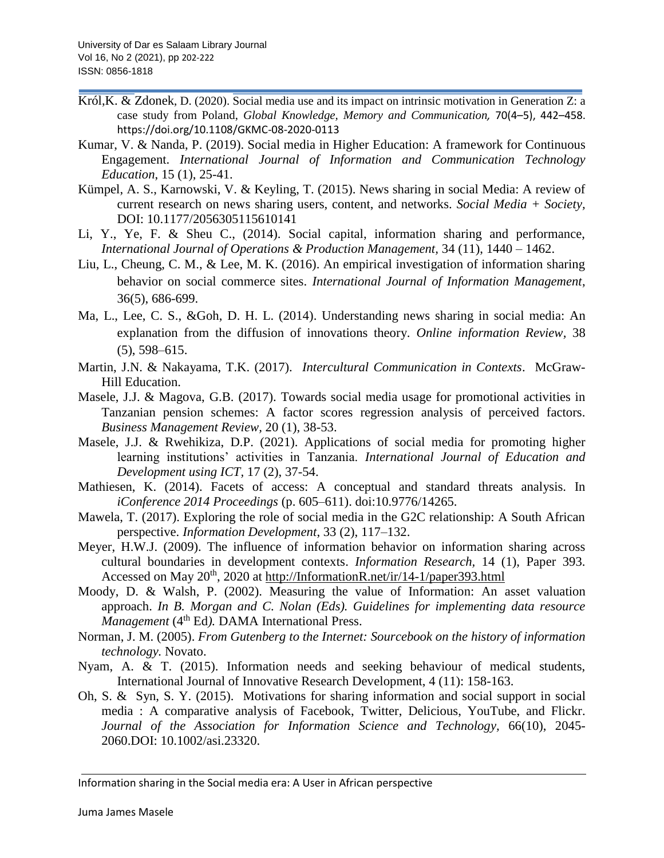- [Król,K. &](https://www.emerald.com/insight/search?q=Karol%20Kr%C3%B3l) [Zdonek](https://www.emerald.com/insight/search?q=Karol%20Kr%C3%B3l), D. (2020). Social media use and its impact on intrinsic motivation in Generation Z: a case study from Poland, *Global Knowledge, Memory and Communication,* 70(4–5), 442–458. https://doi.org/10.1108/GKMC-08-2020-0113
- Kumar, V. & Nanda, P. (2019). Social media in Higher Education: A framework for Continuous Engagement. *International Journal of Information and Communication Technology Education*, 15 (1), 25-41.
- Kümpel, A. S., Karnowski, V. & Keyling, T. (2015). News sharing in social Media: A review of current research on news sharing users, content, and networks. *Social Media + Society,*  DOI: 10.1177/2056305115610141
- Li, Y., Ye, F. & Sheu C., (2014). Social capital, information sharing and performance, *International Journal of Operations & Production Management,* 34 (11), 1440 – 1462.
- Liu, L., Cheung, C. M., & Lee, M. K. (2016). An empirical investigation of information sharing behavior on social commerce sites. *International Journal of Information Management*, 36(5), 686-699.
- Ma, L., Lee, C. S., &Goh, D. H. L. (2014). Understanding news sharing in social media: An explanation from the diffusion of innovations theory. *Online information Review,* 38 (5), 598–615.
- Martin, J.N. & Nakayama, T.K. (2017). *Intercultural Communication in Contexts*. McGraw-Hill Education.
- Masele, J.J. & Magova, G.B. (2017). Towards social media usage for promotional activities in Tanzanian pension schemes: A factor scores regression analysis of perceived factors. *Business Management Review,* 20 (1), 38-53.
- Masele, J.J. & Rwehikiza, D.P. (2021). Applications of social media for promoting higher learning institutions' activities in Tanzania. *[International Journal of Education and](http://ijedict.dec.uwi.edu/index.php)  [Development using ICT,](http://ijedict.dec.uwi.edu/index.php)* [17 \(2\), 37-54.](http://ijedict.dec.uwi.edu/viewissue.php?id=61)
- Mathiesen, K. (2014). Facets of access: A conceptual and standard threats analysis. In *iConference 2014 Proceedings* (p. 605–611). doi:10.9776/14265.
- Mawela, T. (2017). Exploring the role of social media in the G2C relationship: A South African perspective. *Information Development*, 33 (2), 117–132.
- Meyer, H.W.J. (2009). The influence of information behavior on information sharing across cultural boundaries in development contexts. *Information Research,* 14 (1), Paper 393. Accessed on May 20<sup>th</sup>, 2020 at http://InformationR.net/ir/14-1/paper393.html
- Moody, D. & Walsh, P. (2002). Measuring the value of Information: An asset valuation approach. *In B. Morgan and C. Nolan (Eds). Guidelines for implementing data resource Management* (4<sup>th</sup> Ed). DAMA International Press.
- Norman, J. M. (2005). *From Gutenberg to the Internet: Sourcebook on the history of information technology.* Novato.
- Nyam, A. & T. (2015). Information needs and seeking behaviour of medical students, International Journal of Innovative Research Development, 4 (11): 158-163.
- Oh, S. & Syn, S. Y. (2015). Motivations for sharing information and social support in social media : A comparative analysis of Facebook, Twitter, Delicious, YouTube, and Flickr. *Journal of the Association for Information Science and Technology,* 66(10), 2045- 2060.DOI: 10.1002/asi.23320.

Information sharing in the Social media era: A User in African perspective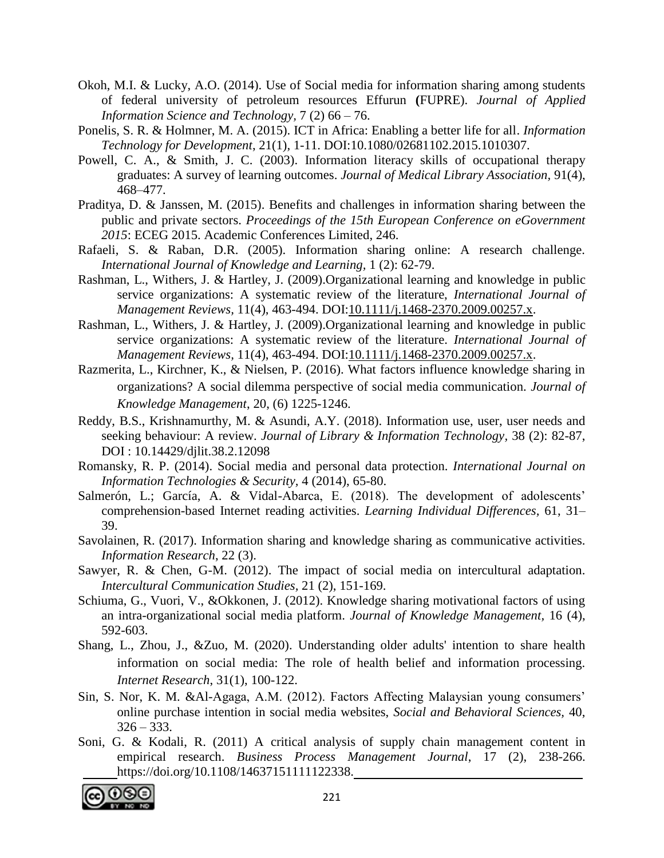- Okoh, M.I. & Lucky, A.O. (2014). Use of Social media for information sharing among students of federal university of petroleum resources Effurun **(**FUPRE). *Journal of Applied Information Science and Technology,* 7 (2) 66 – 76.
- Ponelis, S. R. & Holmner, M. A. (2015). ICT in Africa: Enabling a better life for all. *Information Technology for Development*, 21(1), 1-11. DOI:10.1080/02681102.2015.1010307.
- Powell, C. A., & Smith, J. C. (2003). Information literacy skills of occupational therapy graduates: A survey of learning outcomes. *Journal of Medical Library Association,* 91(4), 468–477.
- Praditya, D. & Janssen, M. (2015). Benefits and challenges in information sharing between the public and private sectors. *Proceedings of the 15th European Conference on eGovernment 2015*: ECEG 2015. Academic Conferences Limited, 246.
- Rafaeli, S. & Raban, D.R. (2005). Information sharing online: A research challenge. *International Journal of Knowledge and Learning,* 1 (2): 62-79.
- [Rashman,](https://www.researchgate.net/profile/Lyndsay-Rashman) L., Withers, J. & Hartley, J. (2009).Organizational learning and knowledge in public service organizations: A systematic review of the literature, *International Journal of Management Reviews,* 11(4), 463-494. DOI[:10.1111/j.1468-2370.2009.00257.x.](http://dx.doi.org/10.1111/j.1468-2370.2009.00257.x)
- [Rashman,](https://www.researchgate.net/profile/Lyndsay-Rashman) L., Withers, J. & Hartley, J. (2009).Organizational learning and knowledge in public service organizations: A systematic review of the literature. *International Journal of Management Reviews,* 11(4), 463-494. DOI[:10.1111/j.1468-2370.2009.00257.x.](http://dx.doi.org/10.1111/j.1468-2370.2009.00257.x)
- Razmerita, L., Kirchner, K., & Nielsen, P. (2016). What factors influence knowledge sharing in organizations? A social dilemma perspective of social media communication. *Journal of Knowledge Management*, 20, (6) 1225-1246.
- Reddy, B.S., Krishnamurthy*,* M. & Asundi, A.Y. (2018). Information use, user, user needs and seeking behaviour: A review. *Journal of Library & Information Technology,* 38 (2): 82-87, DOI : 10.14429/djlit.38.2.12098
- Romansky, R. P. (2014). Social media and personal data protection. *International Journal on Information Technologies & Security,* 4 (2014), 65-80.
- Salmerón, L.; García, A. & Vidal-Abarca, E. (2018). The development of adolescents' comprehension-based Internet reading activities. *Learning Individual Differences,* 61, 31– 39.
- Savolainen, R. (2017). Information sharing and knowledge sharing as communicative activities. *Information Research*, 22 (3).
- Sawyer, R. & Chen, G-M. (2012). The impact of social media on intercultural adaptation. *Intercultural Communication Studies,* 21 (2), 151-169.
- Schiuma, G., Vuori, V., &Okkonen, J. (2012). Knowledge sharing motivational factors of using an intra-organizational social media platform. *Journal of Knowledge Management,* 16 (4), 592-603.
- Shang, L., Zhou, J., &Zuo, M. (2020). Understanding older adults' intention to share health information on social media: The role of health belief and information processing. *Internet Research*, [31\(1\),](https://dblp.org/db/journals/intr/intr31.html#ShangZZ21) 100-122.
- Sin, S. Nor, K. M. &Al-Agaga, A.M. (2012). Factors Affecting Malaysian young consumers' online purchase intention in social media websites, *Social and Behavioral Sciences,* 40,  $326 - 333.$
- Soni, G. & Kodali, R. (2011) A critical analysis of supply chain management content in empirical research. *Business Process Management Journal*, 17 (2), 238-266. https://doi.org/10.1108/14637151111122338.